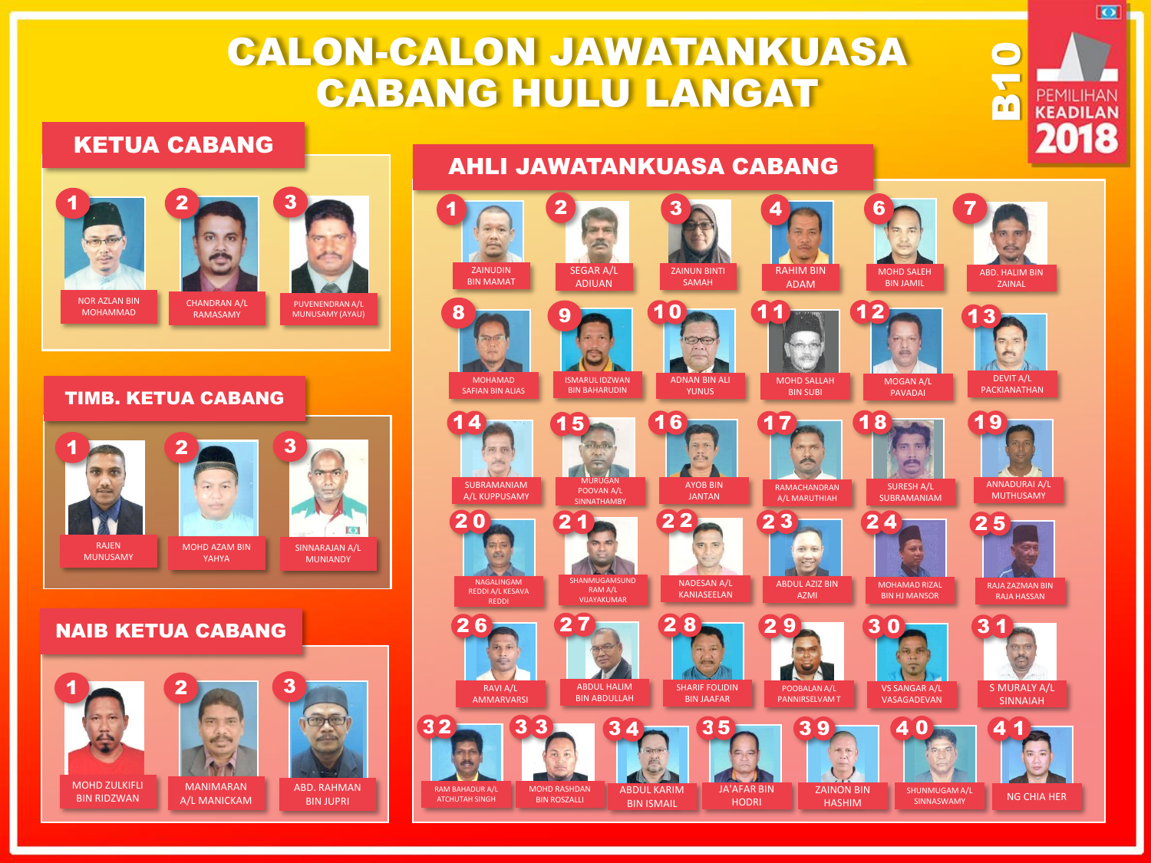# CALON-CALON JAWATANKUASA CABANG HULU LANGAT

#### KETUA CABANG



#### TIMB. KETUA CABANG



#### NAIB KETUA CABANG



### AHLI JAWATANKUASA CABANG



**B10** 

 $\overline{\bullet}$ 

PEMILIHAN **KEADILAN** 2018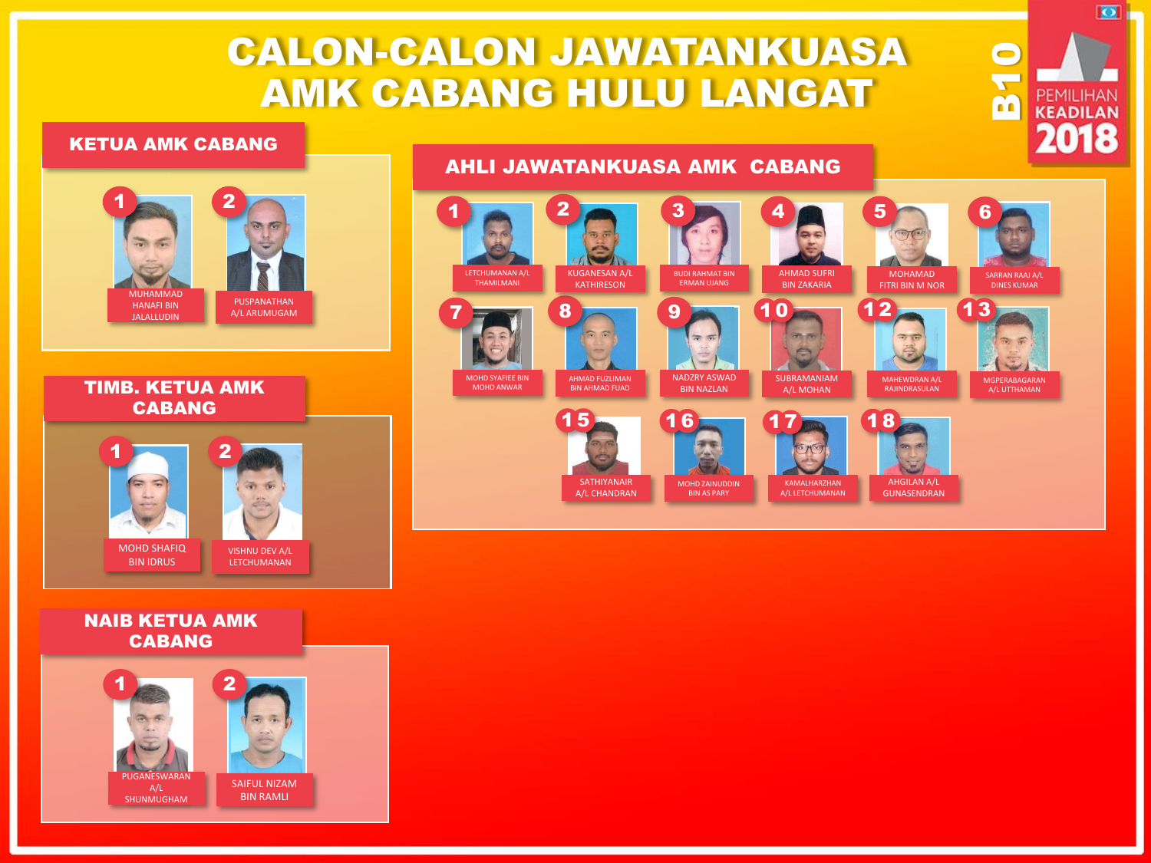# CALON-CALON JAWATANKUASA AMK CABANG HULU LANGAT

#### KETUA AMK CABANG

## PUSPANATHAN A/L ARUMUGAM MUHAMMAD HANAFI BIN JALALLUDIN  $1$   $\sim$   $2$

TIMB. KETUA AMK CABANG



#### NAIB KETUA AMK CABANG



### AHLI JAWATANKUASA AMK CABANG



**B10** 

 $\overline{\bullet}$ 

PEMILIHAN **KEADILAN** 2018